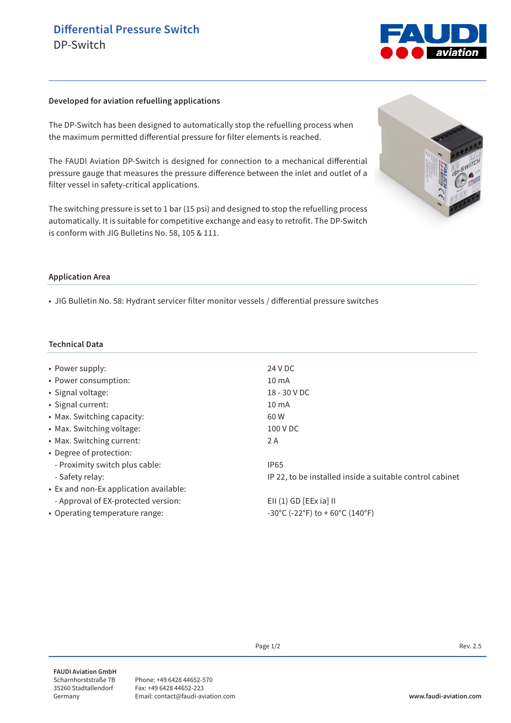

## **Developed for aviation refuelling applications**

The DP-Switch has been designed to automatically stop the refuelling process when the maximum permitted differential pressure for filter elements is reached.

The FAUDI Aviation DP-Switch is designed for connection to a mechanical differential pressure gauge that measures the pressure difference between the inlet and outlet of a filter vessel in safety-critical applications.

The switching pressure is set to 1 bar (15 psi) and designed to stop the refuelling process automatically. It is suitable for competitive exchange and easy to retrofit. The DP-Switch is conform with JIG Bulletins No. 58, 105 & 111.



## **Application Area**

• JIG Bulletin No. 58: Hydrant servicer filter monitor vessels / differential pressure switches

## **Technical Data**

| • Power supply:                        | 24 V DC                                                  |
|----------------------------------------|----------------------------------------------------------|
| • Power consumption:                   | $10 \text{ mA}$                                          |
| • Signal voltage:                      | 18 - 30 V DC                                             |
| • Signal current:                      | $10 \text{ mA}$                                          |
| • Max. Switching capacity:             | 60 W                                                     |
| • Max. Switching voltage:              | 100 V DC                                                 |
| • Max. Switching current:              | 2 A                                                      |
| • Degree of protection:                |                                                          |
| - Proximity switch plus cable:         | <b>IP65</b>                                              |
| - Safety relay:                        | IP 22, to be installed inside a suitable control cabinet |
| • Ex and non-Ex application available: |                                                          |
| - Approval of EX-protected version:    | $EII(1)$ GD [EEx ia] II                                  |
| • Operating temperature range:         | -30°C (-22°F) to + 60°C (140°F)                          |